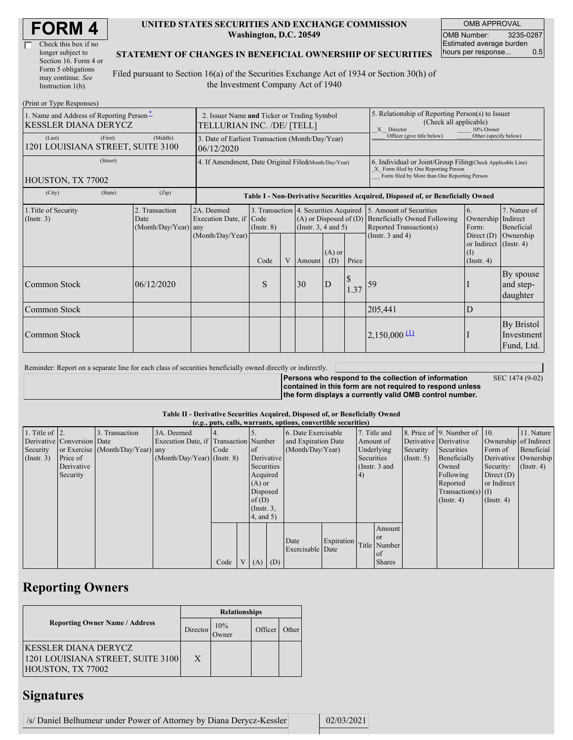| Check this box if no  |
|-----------------------|
| longer subject to     |
| Section 16. Form 4 or |
| Form 5 obligations    |
| may continue. See     |
| Instruction 1(b).     |

### **UNITED STATES SECURITIES AND EXCHANGE COMMISSION Washington, D.C. 20549**

OMB APPROVAL OMB Number: 3235-0287 Estimated average burden hours per response... 0.5

### **STATEMENT OF CHANGES IN BENEFICIAL OWNERSHIP OF SECURITIES**

Filed pursuant to Section 16(a) of the Securities Exchange Act of 1934 or Section 30(h) of the Investment Company Act of 1940

| (Print or Type Responses)                                               |                                                                           |                                                                  |                                                                                  |  |                          |                                                                                                                                                    |                                                                                                       |                                                                                                                                                                              |                                                   |                                                |
|-------------------------------------------------------------------------|---------------------------------------------------------------------------|------------------------------------------------------------------|----------------------------------------------------------------------------------|--|--------------------------|----------------------------------------------------------------------------------------------------------------------------------------------------|-------------------------------------------------------------------------------------------------------|------------------------------------------------------------------------------------------------------------------------------------------------------------------------------|---------------------------------------------------|------------------------------------------------|
| 1. Name and Address of Reporting Person-<br><b>KESSLER DIANA DERYCZ</b> | 2. Issuer Name and Ticker or Trading Symbol<br>TELLURIAN INC. /DE/ [TELL] |                                                                  |                                                                                  |  |                          |                                                                                                                                                    | 5. Relationship of Reporting Person(s) to Issuer<br>(Check all applicable)<br>X Director<br>10% Owner |                                                                                                                                                                              |                                                   |                                                |
| (First)<br>(Last)<br>1201 LOUISIANA STREET, SUITE 3100                  | (Middle)                                                                  | 3. Date of Earliest Transaction (Month/Day/Year)<br>06/12/2020   |                                                                                  |  |                          |                                                                                                                                                    | Officer (give title below)                                                                            | Other (specify below)                                                                                                                                                        |                                                   |                                                |
| (Street)<br>HOUSTON, TX 77002                                           | 4. If Amendment, Date Original Filed(Month/Day/Year)                      |                                                                  |                                                                                  |  |                          | 6. Individual or Joint/Group Filing(Check Applicable Line)<br>X Form filed by One Reporting Person<br>Form filed by More than One Reporting Person |                                                                                                       |                                                                                                                                                                              |                                                   |                                                |
| (City)<br>(State)                                                       | (Zip)                                                                     |                                                                  | Table I - Non-Derivative Securities Acquired, Disposed of, or Beneficially Owned |  |                          |                                                                                                                                                    |                                                                                                       |                                                                                                                                                                              |                                                   |                                                |
| 1. Title of Security<br>$($ Instr. 3 $)$                                | 2. Transaction<br>Date<br>(Month/Day/Year)                                | 2A. Deemed<br>Execution Date, if Code<br>any<br>(Month/Day/Year) | $($ Instr. $8)$                                                                  |  | (Instr. $3, 4$ and $5$ ) |                                                                                                                                                    |                                                                                                       | 3. Transaction 4. Securities Acquired 5. Amount of Securities<br>$(A)$ or Disposed of $(D)$ Beneficially Owned Following<br>Reported Transaction(s)<br>(Instr. $3$ and $4$ ) | 6.<br>Ownership Indirect<br>Form:<br>Direct $(D)$ | 7. Nature of<br><b>Beneficial</b><br>Ownership |
|                                                                         |                                                                           |                                                                  | Code                                                                             |  | V Amount                 | $(A)$ or<br>(D)                                                                                                                                    | Price                                                                                                 |                                                                                                                                                                              | or Indirect (Instr. 4)<br>(I)<br>(Insert, 4)      |                                                |
| Common Stock                                                            | 06/12/2020                                                                |                                                                  | S                                                                                |  | 30                       | D                                                                                                                                                  | 1.37                                                                                                  | 59                                                                                                                                                                           |                                                   | By spouse<br>and step-<br>daughter             |
| <b>Common Stock</b>                                                     |                                                                           |                                                                  |                                                                                  |  |                          |                                                                                                                                                    |                                                                                                       | 205,441                                                                                                                                                                      | D                                                 |                                                |
| Common Stock                                                            |                                                                           |                                                                  |                                                                                  |  |                          |                                                                                                                                                    |                                                                                                       | $2,150,000 \frac{11}{2}$                                                                                                                                                     |                                                   | By Bristol<br>Investment<br>Fund, Ltd.         |

Reminder: Report on a separate line for each class of securities beneficially owned directly or indirectly. **Persons who respond to the collection of information contained in this form are not required to respond unless the form displays a currently valid OMB control number.** SEC 1474 (9-02)

### **Table II - Derivative Securities Acquired, Disposed of, or Beneficially Owned**

|                        | (e.g., puts, calls, warrants, options, convertible securities) |                                  |                                       |      |  |                 |  |                          |            |            |                 |                       |                                              |                       |                      |
|------------------------|----------------------------------------------------------------|----------------------------------|---------------------------------------|------|--|-----------------|--|--------------------------|------------|------------|-----------------|-----------------------|----------------------------------------------|-----------------------|----------------------|
| 1. Title of $\vert$ 2. |                                                                | 3. Transaction                   | 3A. Deemed                            |      |  |                 |  | 6. Date Exercisable      |            |            | 7. Title and    |                       | 8. Price of $\vert$ 9. Number of $\vert$ 10. |                       | 11. Nature           |
|                        | Derivative Conversion Date                                     |                                  | Execution Date, if Transaction Number |      |  |                 |  | and Expiration Date      |            |            | Amount of       | Derivative Derivative |                                              | Ownership of Indirect |                      |
| Security               |                                                                | or Exercise (Month/Day/Year) any |                                       | Code |  | <sub>of</sub>   |  | (Month/Day/Year)         |            |            | Underlying      | Security              | Securities                                   | Form of               | Beneficial           |
| (Insert. 3)            | Price of                                                       |                                  | $(Month/Day/Year)$ (Instr. 8)         |      |  | Derivative      |  |                          |            | Securities |                 | $($ Instr. 5 $)$      | Beneficially                                 |                       | Derivative Ownership |
|                        | Derivative                                                     |                                  |                                       |      |  | Securities      |  |                          |            |            | (Instr. $3$ and |                       | Owned                                        | Security:             | $($ Instr. 4 $)$     |
|                        | Security                                                       |                                  |                                       |      |  | Acquired        |  |                          |            | (4)        |                 |                       | Following                                    | Direct $(D)$          |                      |
|                        |                                                                |                                  |                                       |      |  | $(A)$ or        |  |                          |            |            |                 |                       | Reported                                     | or Indirect           |                      |
|                        |                                                                |                                  |                                       |      |  | Disposed        |  |                          |            |            |                 |                       | $Transaction(s)$ (I)                         |                       |                      |
|                        |                                                                |                                  |                                       |      |  | of(D)           |  |                          |            |            |                 |                       | $($ Instr. 4 $)$                             | $($ Instr. 4 $)$      |                      |
|                        |                                                                |                                  |                                       |      |  | $($ Instr. $3,$ |  |                          |            |            |                 |                       |                                              |                       |                      |
|                        |                                                                |                                  |                                       |      |  | 4, and 5)       |  |                          |            |            |                 |                       |                                              |                       |                      |
|                        |                                                                |                                  |                                       |      |  |                 |  |                          |            |            | Amount          |                       |                                              |                       |                      |
|                        |                                                                |                                  |                                       |      |  |                 |  |                          |            |            | <b>or</b>       |                       |                                              |                       |                      |
|                        |                                                                |                                  |                                       |      |  |                 |  | Date<br>Exercisable Date | Expiration |            | Title Number    |                       |                                              |                       |                      |
|                        |                                                                |                                  |                                       |      |  |                 |  |                          |            |            | of              |                       |                                              |                       |                      |
|                        |                                                                |                                  |                                       | Code |  | $V(A)$ (D)      |  |                          |            |            | <b>Shares</b>   |                       |                                              |                       |                      |

# **Reporting Owners**

|                                                                                | <b>Relationships</b> |              |         |       |  |  |  |
|--------------------------------------------------------------------------------|----------------------|--------------|---------|-------|--|--|--|
| <b>Reporting Owner Name / Address</b>                                          | Director             | 10%<br>Jwner | Officer | Other |  |  |  |
| KESSLER DIANA DERYCZ<br>1201 LOUISIANA STREET, SUITE 3100<br>HOUSTON, TX 77002 | X                    |              |         |       |  |  |  |

# **Signatures**

| /s/ Daniel Belhumeur under Power of Attorney by Diana Derycz-Kessler |  | 02/03/2021 |
|----------------------------------------------------------------------|--|------------|
|----------------------------------------------------------------------|--|------------|